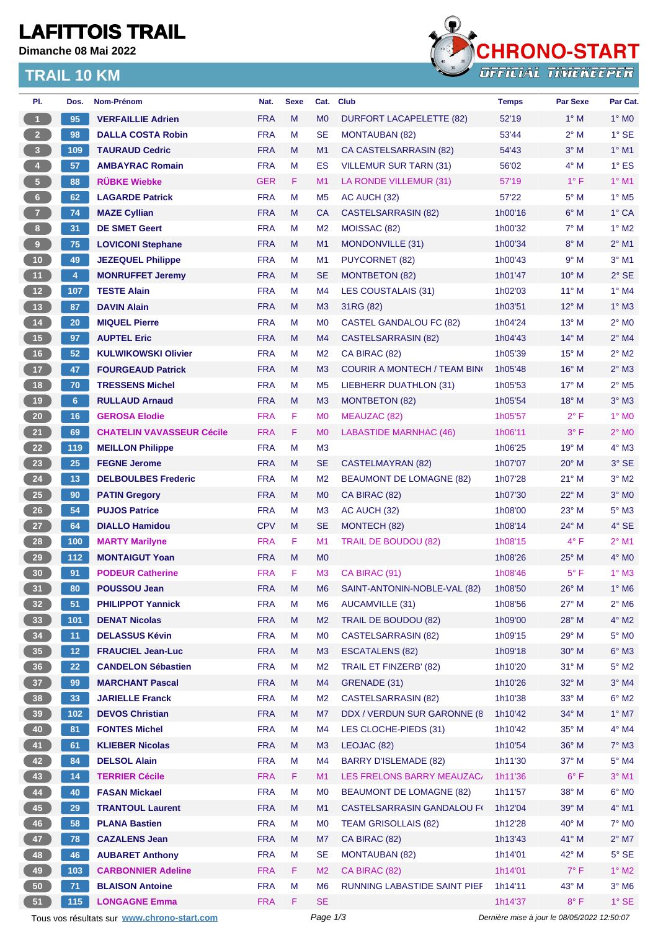## **LAFITTOIS TRAIL**

**Dimanche 08 Mai 2022**

### **TRAIL 10 KM**



| PI.                     | Dos.            | Nom-Prénom                                  | Nat.       | <b>Sexe</b> | Cat.           | <b>Club</b>                         | <b>Temps</b> | <b>Par Sexe</b>                             | Par Cat.                   |
|-------------------------|-----------------|---------------------------------------------|------------|-------------|----------------|-------------------------------------|--------------|---------------------------------------------|----------------------------|
| $\mathbf{1}$            | 95              | <b>VERFAILLIE Adrien</b>                    | <b>FRA</b> | M           | M <sub>0</sub> | DURFORT LACAPELETTE (82)            | 52'19        | $1^\circ$ M                                 | $1^\circ$ MO               |
| 2 <sup>7</sup>          | 98              | <b>DALLA COSTA Robin</b>                    | <b>FRA</b> | M           | <b>SE</b>      | <b>MONTAUBAN (82)</b>               | 53'44        | $2^{\circ}$ M                               | $1^\circ$ SE               |
| $\overline{\mathbf{3}}$ | 109             | <b>TAURAUD Cedric</b>                       | <b>FRA</b> | M           | M1             | CA CASTELSARRASIN (82)              | 54'43        | $3^\circ$ M                                 | $1^\circ$ M1               |
| $\overline{4}$          | 57              | <b>AMBAYRAC Romain</b>                      | <b>FRA</b> | M           | ES             | <b>VILLEMUR SUR TARN (31)</b>       | 56'02        | $4^\circ$ M                                 | $1^\circ$ ES               |
| $\sqrt{5}$              | 88              | <b>RÜBKE Wiebke</b>                         | <b>GER</b> | F           | M1             | LA RONDE VILLEMUR (31)              | 57'19        | $1^{\circ}$ F                               | $1^\circ$ M1               |
| $6-1$                   | 62              | <b>LAGARDE Patrick</b>                      | <b>FRA</b> | M           | M <sub>5</sub> | AC AUCH (32)                        | 57'22        | $5^\circ$ M                                 | $1^\circ$ M <sub>5</sub>   |
| 7 <sup>2</sup>          | 74              | <b>MAZE Cyllian</b>                         | <b>FRA</b> | M           | <b>CA</b>      | <b>CASTELSARRASIN (82)</b>          | 1h00'16      | $6^\circ$ M                                 | $1^\circ$ CA               |
| $\boldsymbol{8}$        | 31              | <b>DE SMET Geert</b>                        | <b>FRA</b> | M           | M <sub>2</sub> | MOISSAC (82)                        | 1h00'32      | $7^\circ$ M                                 | $1^\circ$ M2               |
| $\boldsymbol{9}$        | 75              | <b>LOVICONI Stephane</b>                    | <b>FRA</b> | M           | M <sub>1</sub> | <b>MONDONVILLE (31)</b>             | 1h00'34      | $8^\circ$ M                                 | $2^{\circ}$ M1             |
| 10 <sub>1</sub>         | 49              | <b>JEZEQUEL Philippe</b>                    | <b>FRA</b> | M           | M <sub>1</sub> | <b>PUYCORNET (82)</b>               | 1h00'43      | 9° M                                        | $3°$ M1                    |
| 11                      | $\overline{4}$  | <b>MONRUFFET Jeremy</b>                     | <b>FRA</b> | M           | <b>SE</b>      | <b>MONTBETON (82)</b>               | 1h01'47      | $10^{\circ}$ M                              | $2°$ SE                    |
| $12$                    | 107             | <b>TESTE Alain</b>                          | <b>FRA</b> | M           | M4             | LES COUSTALAIS (31)                 | 1h02'03      | $11^{\circ}$ M                              | $1^\circ$ M4               |
| 13                      | 87              | <b>DAVIN Alain</b>                          | <b>FRA</b> | M           | M <sub>3</sub> | 31RG (82)                           | 1h03'51      | 12° M                                       | $1^\circ$ M3               |
| 14                      | 20 <sub>2</sub> | <b>MIQUEL Pierre</b>                        | <b>FRA</b> | M           | M <sub>0</sub> | <b>CASTEL GANDALOU FC (82)</b>      | 1h04'24      | $13^{\circ}$ M                              | $2^{\circ}$ MO             |
| 15                      | 97              | <b>AUPTEL Eric</b>                          | <b>FRA</b> | M           | M4             | <b>CASTELSARRASIN (82)</b>          | 1h04'43      | $14^{\circ}$ M                              | $2^{\circ}$ M4             |
| $16$                    | 52              | <b>KULWIKOWSKI Olivier</b>                  | <b>FRA</b> | M           | M <sub>2</sub> | CA BIRAC (82)                       | 1h05'39      | $15^{\circ}$ M                              | $2^{\circ}$ M2             |
| 17                      | 47              | <b>FOURGEAUD Patrick</b>                    | <b>FRA</b> | M           | M <sub>3</sub> | <b>COURIR A MONTECH / TEAM BING</b> | 1h05'48      | $16^{\circ}$ M                              | $2^{\circ}$ M3             |
| 18                      | 70              | <b>TRESSENS Michel</b>                      | <b>FRA</b> | M           | M <sub>5</sub> | LIEBHERR DUATHLON (31)              | 1h05'53      | $17^{\circ}$ M                              | $2^{\circ}$ M <sub>5</sub> |
| 19                      | 6 <sup>°</sup>  | <b>RULLAUD Arnaud</b>                       | <b>FRA</b> | M           | M <sub>3</sub> | <b>MONTBETON (82)</b>               | 1h05'54      | $18^{\circ}$ M                              | $3^\circ$ M3               |
| ${\bf 20}$              | 16              | <b>GEROSA Elodie</b>                        | <b>FRA</b> | F           | M <sub>0</sub> | MEAUZAC (82)                        | 1h05'57      | 2° F                                        | $1^\circ$ MO               |
| 21                      | 69              | <b>CHATELIN VAVASSEUR Cécile</b>            | <b>FRA</b> | F           | M <sub>0</sub> | <b>LABASTIDE MARNHAC (46)</b>       | 1h06'11      | $3^{\circ}$ F                               | $2°$ MO                    |
| 22                      | 119             | <b>MEILLON Philippe</b>                     | <b>FRA</b> | M           | M <sub>3</sub> |                                     | 1h06'25      | 19° M                                       | $4^\circ$ M3               |
| 23                      | 25              | <b>FEGNE Jerome</b>                         | <b>FRA</b> | M           | <b>SE</b>      | CASTELMAYRAN (82)                   | 1h07'07      | $20^\circ$ M                                | 3° SE                      |
| 24                      | 13              | <b>DELBOULBES Frederic</b>                  | <b>FRA</b> | M           | M <sub>2</sub> | <b>BEAUMONT DE LOMAGNE (82)</b>     | 1h07'28      | $21°$ M                                     | $3°$ M2                    |
| $25\,$                  | 90              | <b>PATIN Gregory</b>                        | <b>FRA</b> | M           | M <sub>0</sub> | CA BIRAC (82)                       | 1h07'30      | $22^{\circ}$ M                              | $3°$ MO                    |
| 26                      | 54              | <b>PUJOS Patrice</b>                        | <b>FRA</b> | M           | M <sub>3</sub> | AC AUCH (32)                        | 1h08'00      | $23^\circ$ M                                | $5^\circ$ M3               |
| 27                      | 64              | <b>DIALLO Hamidou</b>                       | <b>CPV</b> | M           | <b>SE</b>      | MONTECH (82)                        | 1h08'14      | 24° M                                       | 4° SE                      |
| 28                      | $100$           | <b>MARTY Marilyne</b>                       | <b>FRA</b> | F           | M <sub>1</sub> | <b>TRAIL DE BOUDOU (82)</b>         | 1h08'15      | $4^{\circ}$ F                               | $2^{\circ}$ M1             |
| 29                      | 112             | <b>MONTAIGUT Yoan</b>                       | <b>FRA</b> | M           | M <sub>0</sub> |                                     | 1h08'26      | $25^{\circ}$ M                              | $4^\circ$ MO               |
| 30                      | 91              | <b>PODEUR Catherine</b>                     | <b>FRA</b> | F           | M <sub>3</sub> | CA BIRAC (91)                       | 1h08'46      | $5^{\circ}$ F                               | $1^\circ$ M3               |
| 31                      | 80              | <b>POUSSOU Jean</b>                         | <b>FRA</b> | M           | M <sub>6</sub> | SAINT-ANTONIN-NOBLE-VAL (82)        | 1h08'50      | $26^{\circ}$ M                              | 1° M6                      |
| 32 <sub>2</sub>         | 51              | <b>PHILIPPOT Yannick</b>                    | <b>FRA</b> | M           | M6             | <b>AUCAMVILLE (31)</b>              | 1h08'56      | 27° M                                       | $2^{\circ}$ M6             |
| 33                      | 101             | <b>DENAT Nicolas</b>                        | <b>FRA</b> | M           | M <sub>2</sub> | TRAIL DE BOUDOU (82)                | 1h09'00      | 28° M                                       | $4^\circ$ M2               |
| 34                      | 11              | <b>DELASSUS Kévin</b>                       | <b>FRA</b> | M           | M <sub>0</sub> | <b>CASTELSARRASIN (82)</b>          | 1h09'15      | 29° M                                       | $5^\circ$ MO               |
| 35                      | 12 <sub>2</sub> | <b>FRAUCIEL Jean-Luc</b>                    | <b>FRA</b> | M           | M3             | <b>ESCATALENS (82)</b>              | 1h09'18      | $30^\circ$ M                                | $6^\circ$ M3               |
| 36 <sup>°</sup>         | 22 <sub>2</sub> | <b>CANDELON Sébastien</b>                   | <b>FRA</b> | M           | M <sub>2</sub> | TRAIL ET FINZERB' (82)              | 1h10'20      | 31° M                                       | $5^\circ$ M2               |
| 37                      | 99              | <b>MARCHANT Pascal</b>                      | <b>FRA</b> | M           | M4             | GRENADE (31)                        | 1h10'26      | 32° M                                       | $3°$ M4                    |
| 38                      | 33              | <b>JARIELLE Franck</b>                      | <b>FRA</b> | M           | M <sub>2</sub> | <b>CASTELSARRASIN (82)</b>          | 1h10'38      | 33° M                                       | $6^{\circ}$ M2             |
| 39                      | 102             | <b>DEVOS Christian</b>                      | <b>FRA</b> | M           | M7             | DDX / VERDUN SUR GARONNE (8         | 1h10'42      | 34° M                                       | $1^\circ$ M7               |
| 40                      | 81              | <b>FONTES Michel</b>                        | <b>FRA</b> | М           | M4             | LES CLOCHE-PIEDS (31)               | 1h10'42      | 35° M                                       | $4^\circ$ M4               |
| 41                      | 61              | <b>KLIEBER Nicolas</b>                      | <b>FRA</b> | M           | M <sub>3</sub> | LEOJAC (82)                         | 1h10'54      | 36° M                                       | $7^\circ$ M3               |
| 42                      | 84              | <b>DELSOL Alain</b>                         | <b>FRA</b> | M           | M4             | <b>BARRY D'ISLEMADE (82)</b>        | 1h11'30      | 37° M                                       | $5^\circ$ M4               |
| 43                      | 14              | <b>TERRIER Cécile</b>                       | <b>FRA</b> | F.          | M1             | LES FRELONS BARRY MEAUZAC.          | 1h11'36      | $6^{\circ}$ F                               | $3°$ M1                    |
| 44                      | 40              | <b>FASAN Mickael</b>                        | <b>FRA</b> | M           | M <sub>0</sub> | <b>BEAUMONT DE LOMAGNE (82)</b>     | 1h11'57      | 38° M                                       | $6^\circ$ MO               |
| 45                      | 29              | <b>TRANTOUL Laurent</b>                     | <b>FRA</b> | M           | M1             | <b>CASTELSARRASIN GANDALOU FI</b>   | 1h12'04      | 39° M                                       | $4^\circ$ M1               |
| 46                      | 58              | <b>PLANA Bastien</b>                        | <b>FRA</b> | M           | M <sub>0</sub> | <b>TEAM GRISOLLAIS (82)</b>         | 1h12'28      | 40° M                                       | $7^\circ$ MO               |
| 47                      | 78              | <b>CAZALENS Jean</b>                        | <b>FRA</b> | M           | M7             | CA BIRAC (82)                       | 1h13'43      | 41° M                                       | $2^{\circ}$ M7             |
| 48                      | 46              | <b>AUBARET Anthony</b>                      | <b>FRA</b> | М           | <b>SE</b>      | <b>MONTAUBAN (82)</b>               | 1h14'01      | 42° M                                       | $5^\circ$ SE               |
| 49                      | 103             | <b>CARBONNIER Adeline</b>                   | <b>FRA</b> | F           | M <sub>2</sub> | CA BIRAC (82)                       | 1h14'01      | $7^\circ$ F                                 | $1^\circ$ M2               |
| 50                      | 71              | <b>BLAISON Antoine</b>                      | <b>FRA</b> | M           | M <sub>6</sub> | RUNNING LABASTIDE SAINT PIEF        | 1h14'11      | 43° M                                       | $3^\circ$ M6               |
| 51                      | 115             | <b>LONGAGNE Emma</b>                        | <b>FRA</b> | F           | <b>SE</b>      |                                     | 1h14'37      | $8^{\circ}$ F                               | $1^\circ$ SE               |
|                         |                 | Tous vos résultats sur www.chrono-start.com |            |             | Page 1/3       |                                     |              | Dernière mise à jour le 08/05/2022 12:50:07 |                            |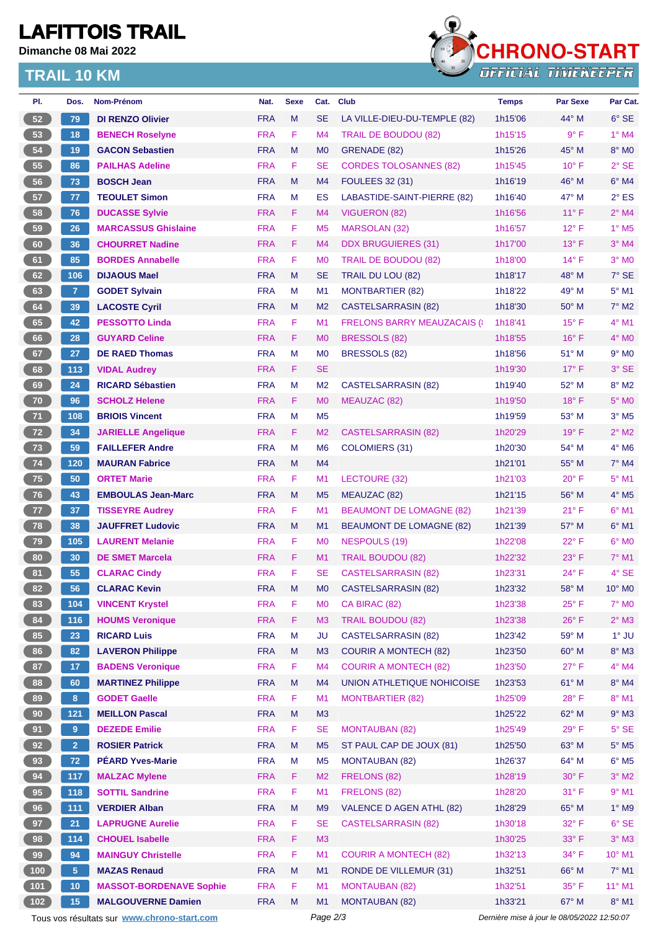# **LAFITTOIS TRAIL**

**Dimanche 08 Mai 2022**

### **TRAIL 10 KM**



| PI.                                      | Dos.            | Nom-Prénom                                  | Nat.       | <b>Sexe</b> | Cat.           | <b>Club</b>                         | <b>Temps</b>                                | Par Sexe       | Par Cat.                 |  |
|------------------------------------------|-----------------|---------------------------------------------|------------|-------------|----------------|-------------------------------------|---------------------------------------------|----------------|--------------------------|--|
| 52                                       | 79              | <b>DI RENZO Olivier</b>                     | <b>FRA</b> | M           | <b>SE</b>      | LA VILLE-DIEU-DU-TEMPLE (82)        | 1h15'06                                     | $44^{\circ}$ M | $6°$ SE                  |  |
| 53                                       | 18              | <b>BENECH Roselyne</b>                      | <b>FRA</b> | F           | M <sub>4</sub> | <b>TRAIL DE BOUDOU (82)</b>         | 1h15'15                                     | $9^{\circ}$ F  | $1^\circ$ M4             |  |
| 54                                       | 19              | <b>GACON Sebastien</b>                      | <b>FRA</b> | M           | M <sub>0</sub> | GRENADE (82)                        | 1h15'26                                     | $45^{\circ}$ M | 8° MO                    |  |
| 55                                       | 86              | <b>PAILHAS Adeline</b>                      | <b>FRA</b> | F           | <b>SE</b>      | <b>CORDES TOLOSANNES (82)</b>       | 1h15'45                                     | $10^{\circ}$ F | $2°$ SE                  |  |
| 56                                       | 73              | <b>BOSCH Jean</b>                           | <b>FRA</b> | M           | M4             | <b>FOULEES 32 (31)</b>              | 1h16'19                                     | $46^{\circ}$ M | $6^\circ$ M4             |  |
| 57                                       | 77              | <b>TEOULET Simon</b>                        | <b>FRA</b> | М           | ES             | LABASTIDE-SAINT-PIERRE (82)         | 1h16'40                                     | 47° M          | $2^{\circ}$ ES           |  |
| 58                                       | 76              | <b>DUCASSE Sylvie</b>                       | <b>FRA</b> | F.          | M <sub>4</sub> | VIGUERON (82)                       | 1h16'56                                     | $11^{\circ}$ F | $2^{\circ}$ M4           |  |
| 59                                       | 26              | <b>MARCASSUS Ghislaine</b>                  | <b>FRA</b> | F           | M <sub>5</sub> | <b>MARSOLAN (32)</b>                | 1h16'57                                     | $12^{\circ}$ F | $1^\circ$ M <sub>5</sub> |  |
| 60                                       | 36              | <b>CHOURRET Nadine</b>                      | <b>FRA</b> | F           | M <sub>4</sub> | <b>DDX BRUGUIERES (31)</b>          | 1h17'00                                     | $13^{\circ}$ F | $3°$ M4                  |  |
| 61                                       | 85              | <b>BORDES Annabelle</b>                     | <b>FRA</b> | F           | M <sub>0</sub> | TRAIL DE BOUDOU (82)                | 1h18'00                                     | $14^{\circ}$ F | $3°$ MO                  |  |
| 62                                       | 106             | <b>DIJAOUS Mael</b>                         | <b>FRA</b> | M           | <b>SE</b>      | TRAIL DU LOU (82)                   | 1h18'17                                     | $48^\circ$ M   | $7^\circ$ SE             |  |
| 63                                       | 7 <sup>1</sup>  | <b>GODET Sylvain</b>                        | <b>FRA</b> | М           | M <sub>1</sub> | <b>MONTBARTIER (82)</b>             | 1h18'22                                     | 49° M          | $5^{\circ}$ M1           |  |
| 64                                       | 39              | <b>LACOSTE Cyril</b>                        | <b>FRA</b> | M           | M <sub>2</sub> | CASTELSARRASIN (82)                 | 1h18'30                                     | $50^\circ$ M   | $7^\circ$ M2             |  |
| 65                                       | 42              | <b>PESSOTTO Linda</b>                       | <b>FRA</b> | F           | M <sub>1</sub> | <b>FRELONS BARRY MEAUZACAIS (I)</b> | 1h18'41                                     | $15^{\circ}$ F | 4° M1                    |  |
| 66                                       | 28              | <b>GUYARD Celine</b>                        | <b>FRA</b> | F           | M <sub>0</sub> | BRESSOLS (82)                       | 1h18'55                                     | $16^{\circ}$ F | 4° MO                    |  |
| 67                                       | 27              | <b>DE RAED Thomas</b>                       | <b>FRA</b> | м           | M <sub>0</sub> | BRESSOLS (82)                       | 1h18'56                                     | 51° M          | $9^\circ$ MO             |  |
| 68                                       | 113             | <b>VIDAL Audrey</b>                         | <b>FRA</b> | F.          | <b>SE</b>      |                                     | 1h19'30                                     | $17^{\circ}$ F | 3° SE                    |  |
| 69                                       | 24              | <b>RICARD Sébastien</b>                     | <b>FRA</b> | M           | M <sub>2</sub> | <b>CASTELSARRASIN (82)</b>          | 1h19'40                                     | 52° M          | $8^\circ$ M2             |  |
| 70                                       | 96              | <b>SCHOLZ Helene</b>                        | <b>FRA</b> | F           | M <sub>0</sub> | MEAUZAC (82)                        | 1h19'50                                     | $18^{\circ}$ F | $5^\circ$ MO             |  |
| 71                                       | 108             | <b>BRIOIS Vincent</b>                       | <b>FRA</b> | м           | M <sub>5</sub> |                                     | 1h19'59                                     | $53^\circ$ M   | $3°$ M <sub>5</sub>      |  |
| $\begin{array}{c} \hline 72 \end{array}$ | 34              | <b>JARIELLE Angelique</b>                   | <b>FRA</b> | F           | M <sub>2</sub> | <b>CASTELSARRASIN (82)</b>          | 1h20'29                                     | $19^{\circ}$ F | $2^{\circ}$ M2           |  |
| 73                                       | 59              | <b>FAILLEFER Andre</b>                      | <b>FRA</b> | М           | M <sub>6</sub> | COLOMIERS (31)                      | 1h20'30                                     | 54° M          | $4^\circ$ M6             |  |
| 74                                       | 120             | <b>MAURAN Fabrice</b>                       | <b>FRA</b> | M           | M4             |                                     | 1h21'01                                     | $55^{\circ}$ M | $7^\circ$ M4             |  |
| 75                                       | 50              | <b>ORTET Marie</b>                          | <b>FRA</b> | F           | M1             | LECTOURE (32)                       | 1h21'03                                     | $20^{\circ}$ F | $5^{\circ}$ M1           |  |
| 76                                       | 43              | <b>EMBOULAS Jean-Marc</b>                   | <b>FRA</b> | M           | M <sub>5</sub> | MEAUZAC (82)                        | 1h21'15                                     | 56° M          | $4^\circ$ M <sub>5</sub> |  |
| 77                                       | 37              | <b>TISSEYRE Audrey</b>                      | <b>FRA</b> | F           | M <sub>1</sub> | <b>BEAUMONT DE LOMAGNE (82)</b>     | 1h21'39                                     | $21^{\circ}$ F | $6°$ M1                  |  |
| 78                                       | 38              | <b>JAUFFRET Ludovic</b>                     | <b>FRA</b> | M           | M1             | <b>BEAUMONT DE LOMAGNE (82)</b>     | 1h21'39                                     | 57° M          | $6^{\circ}$ M1           |  |
| 79                                       | 105             | <b>LAURENT Melanie</b>                      | <b>FRA</b> | F           | M <sub>0</sub> | NESPOULS (19)                       | 1h22'08                                     | $22^{\circ}$ F | $6^\circ$ MO             |  |
| 80                                       | 30              | <b>DE SMET Marcela</b>                      | <b>FRA</b> | F           | M <sub>1</sub> | <b>TRAIL BOUDOU (82)</b>            | 1h22'32                                     | $23^\circ$ F   | $7^\circ$ M1             |  |
| 81                                       | 55              | <b>CLARAC Cindy</b>                         | <b>FRA</b> | F           | <b>SE</b>      | CASTELSARRASIN (82)                 | 1h23'31                                     | 24° F          | 4° SE                    |  |
| 82                                       | 56              | <b>CLARAC Kevin</b>                         | <b>FRA</b> | M           | M <sub>0</sub> | <b>CASTELSARRASIN (82)</b>          | 1h23'32                                     | 58° M          | 10° M0                   |  |
| 83                                       | 104             | <b>VINCENT Krystel</b>                      | <b>FRA</b> | F           | M <sub>0</sub> | CA BIRAC (82)                       | 1h23'38                                     | $25^{\circ}$ F | 7° M0                    |  |
| 84                                       | 116             | <b>HOUMS Veronique</b>                      | <b>FRA</b> | F           | M <sub>3</sub> | <b>TRAIL BOUDOU (82)</b>            | 1h23'38                                     | $26^{\circ}$ F | $2^{\circ}$ M3           |  |
| 85                                       | 23              | <b>RICARD Luis</b>                          | <b>FRA</b> | M           | <b>JU</b>      | <b>CASTELSARRASIN (82)</b>          | 1h23'42                                     | 59° M          | $1°$ JU                  |  |
| 86                                       | 82              | <b>LAVERON Philippe</b>                     | <b>FRA</b> | M           | M3             | <b>COURIR A MONTECH (82)</b>        | 1h23'50                                     | 60° M          | 8° M3                    |  |
| 87                                       | 17 <sub>2</sub> | <b>BADENS Veronique</b>                     | <b>FRA</b> | F           | M <sub>4</sub> | <b>COURIR A MONTECH (82)</b>        | 1h23'50                                     | $27^{\circ}$ F | 4° M4                    |  |
| 88                                       | 60              | <b>MARTINEZ Philippe</b>                    | <b>FRA</b> | ${\sf M}$   | M <sub>4</sub> | UNION ATHLETIQUE NOHICOISE          | 1h23'53                                     | 61° M          | 8° M4                    |  |
| 89                                       | 8 <sup>°</sup>  | <b>GODET Gaelle</b>                         | <b>FRA</b> | F           | M <sub>1</sub> | <b>MONTBARTIER (82)</b>             | 1h25'09                                     | 28°F           | 8° M1                    |  |
| 90                                       | $121$           | <b>MEILLON Pascal</b>                       | <b>FRA</b> | M           | M3             |                                     | 1h25'22                                     | 62° M          | $9°$ M3                  |  |
| 91                                       | 9 <sup>°</sup>  | <b>DEZEDE Emilie</b>                        | <b>FRA</b> | F           | <b>SE</b>      | <b>MONTAUBAN (82)</b>               | 1h25'49                                     | 29°F           | 5° SE                    |  |
| 92                                       | 2 <sup>7</sup>  | <b>ROSIER Patrick</b>                       | <b>FRA</b> | M           | M <sub>5</sub> | ST PAUL CAP DE JOUX (81)            | 1h25'50                                     | 63° M          | $5^\circ$ M5             |  |
| 93                                       | 72              | <b>PÉARD Yves-Marie</b>                     | <b>FRA</b> | M           | M <sub>5</sub> | <b>MONTAUBAN (82)</b>               | 1h26'37                                     | 64° M          | $6^\circ$ M5             |  |
| 94                                       | 117             | <b>MALZAC Mylene</b>                        | <b>FRA</b> | F           | M <sub>2</sub> | FRELONS (82)                        | 1h28'19                                     | $30^\circ$ F   | $3^\circ$ M2             |  |
| 95                                       | 118             | <b>SOTTIL Sandrine</b>                      | <b>FRA</b> | F           | M1             | FRELONS (82)                        | 1h28'20                                     | 31° F          | $9°$ M1                  |  |
| 96                                       | $111$           | <b>VERDIER Alban</b>                        | <b>FRA</b> | M           | M <sub>9</sub> | VALENCE D AGEN ATHL (82)            | 1h28'29                                     | 65° M          | 1° M9                    |  |
| 97                                       | 21              | <b>LAPRUGNE Aurelie</b>                     | <b>FRA</b> | F           | <b>SE</b>      | <b>CASTELSARRASIN (82)</b>          | 1h30'18                                     | $32^{\circ}$ F | $6^{\circ}$ SE           |  |
| 98                                       | 114             | <b>CHOUEL Isabelle</b>                      | <b>FRA</b> | F           | M3             |                                     | 1h30'25                                     | 33° F          | $3°$ M3                  |  |
| 99                                       | 94              | <b>MAINGUY Christelle</b>                   | <b>FRA</b> | F           | M1             | <b>COURIR A MONTECH (82)</b>        | 1h32'13                                     | 34° F          | 10° M1                   |  |
| (100)                                    | $\sqrt{5}$      | <b>MAZAS Renaud</b>                         | <b>FRA</b> | M           | M1             | RONDE DE VILLEMUR (31)              | 1h32'51                                     | 66° M          | $7^\circ$ M1             |  |
| 101                                      | 10              | <b>MASSOT-BORDENAVE Sophie</b>              | <b>FRA</b> | F           | M <sub>1</sub> | <b>MONTAUBAN (82)</b>               | 1h32'51                                     | 35° F          | 11° M1                   |  |
| (102)                                    | 15              | <b>MALGOUVERNE Damien</b>                   | <b>FRA</b> | M           | M1             | <b>MONTAUBAN (82)</b>               | 1h33'21                                     | 67° M          | 8° M1                    |  |
|                                          |                 | Tous vos résultats sur www.chrono-start.com |            |             | Page 2/3       |                                     | Dernière mise à jour le 08/05/2022 12:50:07 |                |                          |  |